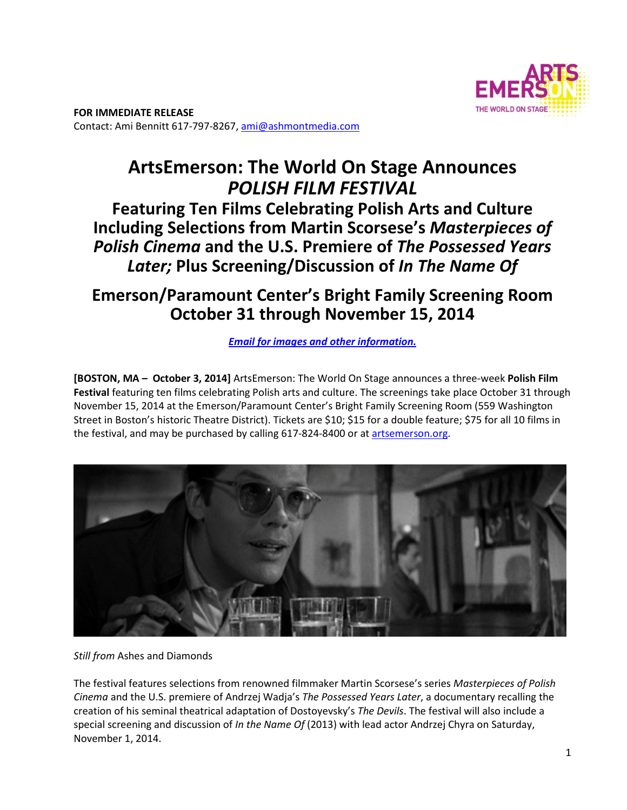

**FOR IMMEDIATE RELEASE**  Contact: Ami Bennitt 617‐797‐8267, ami@ashmontmedia.com

# **ArtsEmerson: The World On Stage Announces**  *POLISH FILM FESTIVAL*

**Featuring Ten Films Celebrating Polish Arts and Culture Including Selections from Martin Scorsese's** *Masterpieces of Polish Cinema* **and the U.S. Premiere of** *The Possessed Years Later;* **Plus Screening/Discussion of** *In The Name Of* 

# **Emerson/Paramount Center's Bright Family Screening Room October 31 through November 15, 2014**

*Email for images and other information.*

**[BOSTON, MA – October 3, 2014]** ArtsEmerson: The World On Stage announces a three‐week **Polish Film Festival** featuring ten films celebrating Polish arts and culture. The screenings take place October 31 through November 15, 2014 at the Emerson/Paramount Center's Bright Family Screening Room (559 Washington Street in Boston's historic Theatre District). Tickets are \$10; \$15 for a double feature; \$75 for all 10 films in the festival, and may be purchased by calling 617-824-8400 or at artsemerson.org.



*Still from* Ashes and Diamonds

The festival features selections from renowned filmmaker Martin Scorsese's series *Masterpieces of Polish Cinema* and the U.S. premiere of Andrzej Wadja's *The Possessed Years Later*, a documentary recalling the creation of his seminal theatrical adaptation of Dostoyevsky's *The Devils*. The festival will also include a special screening and discussion of *In the Name Of* (2013) with lead actor Andrzej Chyra on Saturday, November 1, 2014.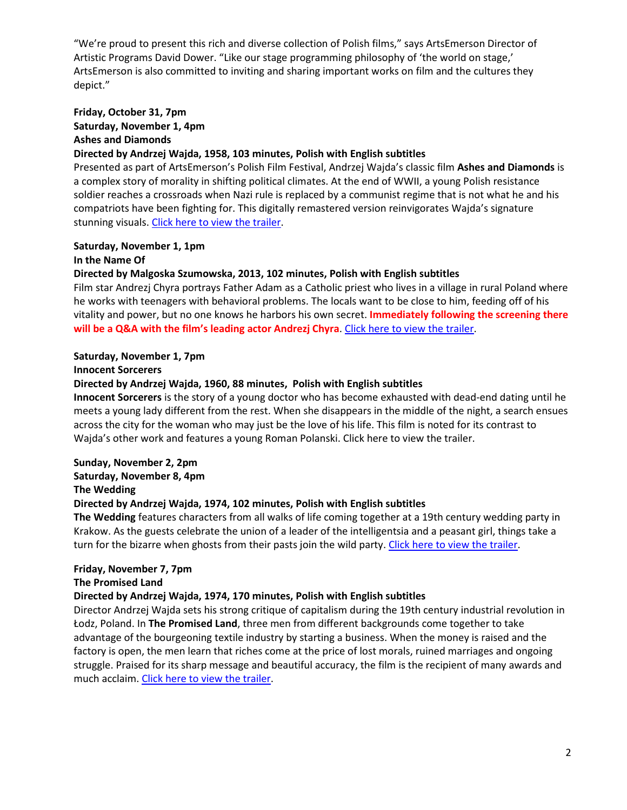"We're proud to present this rich and diverse collection of Polish films," says ArtsEmerson Director of Artistic Programs David Dower. "Like our stage programming philosophy of 'the world on stage,' ArtsEmerson is also committed to inviting and sharing important works on film and the cultures they depict."

# **Friday, October 31, 7pm Saturday, November 1, 4pm Ashes and Diamonds**

#### **Directed by Andrzej Wajda, 1958, 103 minutes, Polish with English subtitles**

Presented as part of ArtsEmerson's Polish Film Festival, Andrzej Wajda's classic film **Ashes and Diamonds** is a complex story of morality in shifting political climates. At the end of WWII, a young Polish resistance soldier reaches a crossroads when Nazi rule is replaced by a communist regime that is not what he and his compatriots have been fighting for. This digitally remastered version reinvigorates Wajda's signature stunning visuals. Click here to view the trailer.

# **Saturday, November 1, 1pm**

# **In the Name Of**

# **Directed by Malgoska Szumowska, 2013, 102 minutes, Polish with English subtitles**

Film star Andrezj Chyra portrays Father Adam as a Catholic priest who lives in a village in rural Poland where he works with teenagers with behavioral problems. The locals want to be close to him, feeding off of his vitality and power, but no one knows he harbors his own secret. **Immediately following the screening there will be a Q&A with the film's leading actor Andrezj Chyra**. Click here to view the trailer.

# **Saturday, November 1, 7pm**

#### **Innocent Sorcerers**

#### **Directed by Andrzej Wajda, 1960, 88 minutes, Polish with English subtitles**

**Innocent Sorcerers** is the story of a young doctor who has become exhausted with dead‐end dating until he meets a young lady different from the rest. When she disappears in the middle of the night, a search ensues across the city for the woman who may just be the love of his life. This film is noted for its contrast to Wajda's other work and features a young Roman Polanski. Click here to view the trailer.

# **Sunday, November 2, 2pm**

**Saturday, November 8, 4pm** 

#### **The Wedding**

# **Directed by Andrzej Wajda, 1974, 102 minutes, Polish with English subtitles**

**The Wedding** features characters from all walks of life coming together at a 19th century wedding party in Krakow. As the guests celebrate the union of a leader of the intelligentsia and a peasant girl, things take a turn for the bizarre when ghosts from their pasts join the wild party. Click here to view the trailer.

#### **Friday, November 7, 7pm**

#### **The Promised Land**

#### **Directed by Andrzej Wajda, 1974, 170 minutes, Polish with English subtitles**

Director Andrzej Wajda sets his strong critique of capitalism during the 19th century industrial revolution in Łodz, Poland. In **The Promised Land**, three men from different backgrounds come together to take advantage of the bourgeoning textile industry by starting a business. When the money is raised and the factory is open, the men learn that riches come at the price of lost morals, ruined marriages and ongoing struggle. Praised for its sharp message and beautiful accuracy, the film is the recipient of many awards and much acclaim. Click here to view the trailer.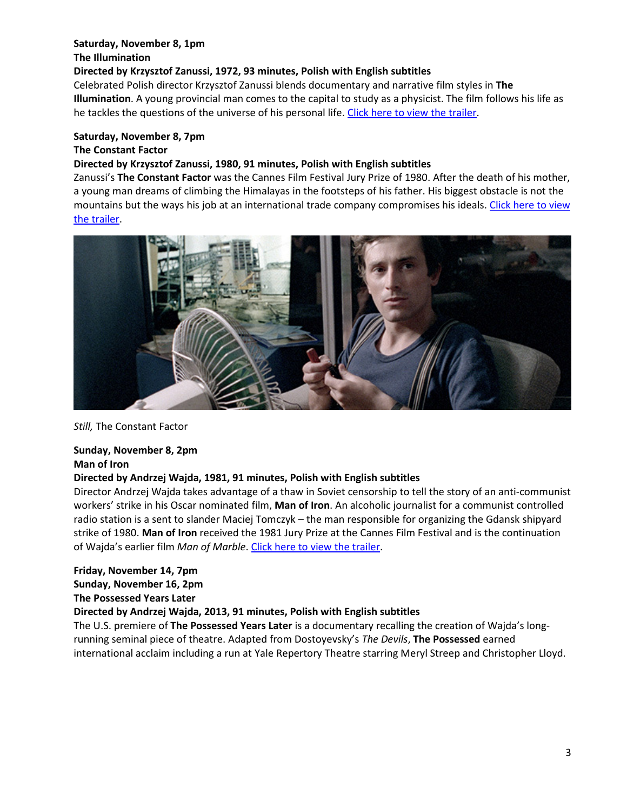# **Saturday, November 8, 1pm The Illumination**

#### **Directed by Krzysztof Zanussi, 1972, 93 minutes, Polish with English subtitles**

Celebrated Polish director Krzysztof Zanussi blends documentary and narrative film styles in **The Illumination**. A young provincial man comes to the capital to study as a physicist. The film follows his life as he tackles the questions of the universe of his personal life. Click here to view the trailer.

### **Saturday, November 8, 7pm**

#### **The Constant Factor**

### **Directed by Krzysztof Zanussi, 1980, 91 minutes, Polish with English subtitles**

Zanussi's **The Constant Factor** was the Cannes Film Festival Jury Prize of 1980. After the death of his mother, a young man dreams of climbing the Himalayas in the footsteps of his father. His biggest obstacle is not the mountains but the ways his job at an international trade company compromises his ideals. Click here to view the trailer.



#### *Still,* The Constant Factor

#### **Sunday, November 8, 2pm Man of Iron**

# **Directed by Andrzej Wajda, 1981, 91 minutes, Polish with English subtitles**

Director Andrzej Wajda takes advantage of a thaw in Soviet censorship to tell the story of an anti‐communist workers' strike in his Oscar nominated film, **Man of Iron**. An alcoholic journalist for a communist controlled radio station is a sent to slander Maciej Tomczyk – the man responsible for organizing the Gdansk shipyard strike of 1980. **Man of Iron** received the 1981 Jury Prize at the Cannes Film Festival and is the continuation of Wajda's earlier film *Man of Marble*. Click here to view the trailer.

# **Friday, November 14, 7pm**

#### **Sunday, November 16, 2pm The Possessed Years Later**

# **Directed by Andrzej Wajda, 2013, 91 minutes, Polish with English subtitles**

The U.S. premiere of **The Possessed Years Later** is a documentary recalling the creation of Wajda's long‐ running seminal piece of theatre. Adapted from Dostoyevsky's *The Devils*, **The Possessed** earned international acclaim including a run at Yale Repertory Theatre starring Meryl Streep and Christopher Lloyd.